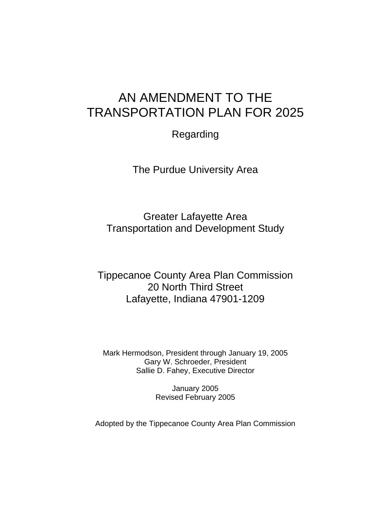# AN AMENDMENT TO THE TRANSPORTATION PLAN FOR 2025

Regarding

The Purdue University Area

Greater Lafayette Area Transportation and Development Study

Tippecanoe County Area Plan Commission 20 North Third Street Lafayette, Indiana 47901-1209

Mark Hermodson, President through January 19, 2005 Gary W. Schroeder, President Sallie D. Fahey, Executive Director

> January 2005 Revised February 2005

Adopted by the Tippecanoe County Area Plan Commission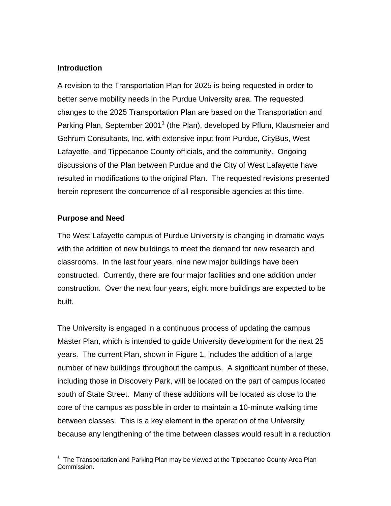#### **Introduction**

A revision to the Transportation Plan for 2025 is being requested in order to better serve mobility needs in the Purdue University area. The requested changes to the 2025 Transportation Plan are based on the Transportation and Parking Plan, September 2001<sup>1</sup> (the Plan), developed by Pflum, Klausmeier and Gehrum Consultants, Inc. with extensive input from Purdue, CityBus, West Lafayette, and Tippecanoe County officials, and the community. Ongoing discussions of the Plan between Purdue and the City of West Lafayette have resulted in modifications to the original Plan. The requested revisions presented herein represent the concurrence of all responsible agencies at this time.

#### **Purpose and Need**

The West Lafayette campus of Purdue University is changing in dramatic ways with the addition of new buildings to meet the demand for new research and classrooms. In the last four years, nine new major buildings have been constructed. Currently, there are four major facilities and one addition under construction. Over the next four years, eight more buildings are expected to be built.

The University is engaged in a continuous process of updating the campus Master Plan, which is intended to guide University development for the next 25 years. The current Plan, shown in Figure 1, includes the addition of a large number of new buildings throughout the campus. A significant number of these, including those in Discovery Park, will be located on the part of campus located south of State Street. Many of these additions will be located as close to the core of the campus as possible in order to maintain a 10-minute walking time between classes. This is a key element in the operation of the University because any lengthening of the time between classes would result in a reduction

 $1$  The Transportation and Parking Plan may be viewed at the Tippecanoe County Area Plan Commission.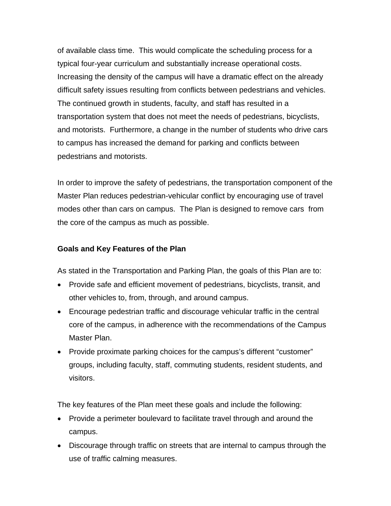of available class time. This would complicate the scheduling process for a typical four-year curriculum and substantially increase operational costs. Increasing the density of the campus will have a dramatic effect on the already difficult safety issues resulting from conflicts between pedestrians and vehicles. The continued growth in students, faculty, and staff has resulted in a transportation system that does not meet the needs of pedestrians, bicyclists, and motorists. Furthermore, a change in the number of students who drive cars to campus has increased the demand for parking and conflicts between pedestrians and motorists.

In order to improve the safety of pedestrians, the transportation component of the Master Plan reduces pedestrian-vehicular conflict by encouraging use of travel modes other than cars on campus. The Plan is designed to remove cars from the core of the campus as much as possible.

#### **Goals and Key Features of the Plan**

As stated in the Transportation and Parking Plan, the goals of this Plan are to:

- Provide safe and efficient movement of pedestrians, bicyclists, transit, and other vehicles to, from, through, and around campus.
- Encourage pedestrian traffic and discourage vehicular traffic in the central core of the campus, in adherence with the recommendations of the Campus Master Plan.
- Provide proximate parking choices for the campus's different "customer" groups, including faculty, staff, commuting students, resident students, and visitors.

The key features of the Plan meet these goals and include the following:

- Provide a perimeter boulevard to facilitate travel through and around the campus.
- Discourage through traffic on streets that are internal to campus through the use of traffic calming measures.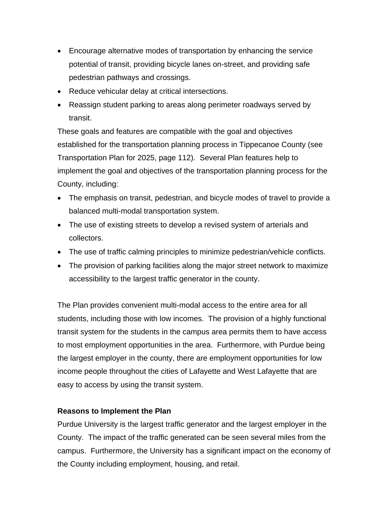- Encourage alternative modes of transportation by enhancing the service potential of transit, providing bicycle lanes on-street, and providing safe pedestrian pathways and crossings.
- Reduce vehicular delay at critical intersections.
- Reassign student parking to areas along perimeter roadways served by transit.

These goals and features are compatible with the goal and objectives established for the transportation planning process in Tippecanoe County (see Transportation Plan for 2025, page 112). Several Plan features help to implement the goal and objectives of the transportation planning process for the County, including:

- The emphasis on transit, pedestrian, and bicycle modes of travel to provide a balanced multi-modal transportation system.
- The use of existing streets to develop a revised system of arterials and collectors.
- The use of traffic calming principles to minimize pedestrian/vehicle conflicts.
- The provision of parking facilities along the major street network to maximize accessibility to the largest traffic generator in the county.

The Plan provides convenient multi-modal access to the entire area for all students, including those with low incomes. The provision of a highly functional transit system for the students in the campus area permits them to have access to most employment opportunities in the area. Furthermore, with Purdue being the largest employer in the county, there are employment opportunities for low income people throughout the cities of Lafayette and West Lafayette that are easy to access by using the transit system.

#### **Reasons to Implement the Plan**

Purdue University is the largest traffic generator and the largest employer in the County. The impact of the traffic generated can be seen several miles from the campus. Furthermore, the University has a significant impact on the economy of the County including employment, housing, and retail.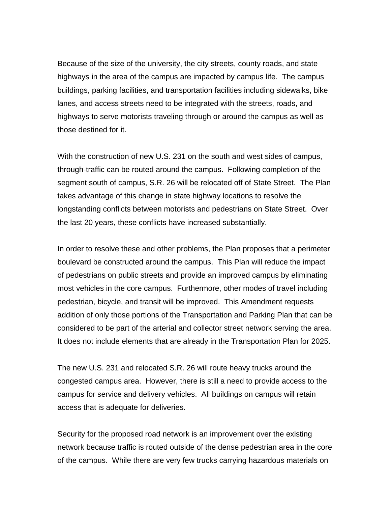Because of the size of the university, the city streets, county roads, and state highways in the area of the campus are impacted by campus life. The campus buildings, parking facilities, and transportation facilities including sidewalks, bike lanes, and access streets need to be integrated with the streets, roads, and highways to serve motorists traveling through or around the campus as well as those destined for it.

With the construction of new U.S. 231 on the south and west sides of campus, through-traffic can be routed around the campus. Following completion of the segment south of campus, S.R. 26 will be relocated off of State Street. The Plan takes advantage of this change in state highway locations to resolve the longstanding conflicts between motorists and pedestrians on State Street. Over the last 20 years, these conflicts have increased substantially.

In order to resolve these and other problems, the Plan proposes that a perimeter boulevard be constructed around the campus. This Plan will reduce the impact of pedestrians on public streets and provide an improved campus by eliminating most vehicles in the core campus. Furthermore, other modes of travel including pedestrian, bicycle, and transit will be improved. This Amendment requests addition of only those portions of the Transportation and Parking Plan that can be considered to be part of the arterial and collector street network serving the area. It does not include elements that are already in the Transportation Plan for 2025.

The new U.S. 231 and relocated S.R. 26 will route heavy trucks around the congested campus area. However, there is still a need to provide access to the campus for service and delivery vehicles. All buildings on campus will retain access that is adequate for deliveries.

Security for the proposed road network is an improvement over the existing network because traffic is routed outside of the dense pedestrian area in the core of the campus. While there are very few trucks carrying hazardous materials on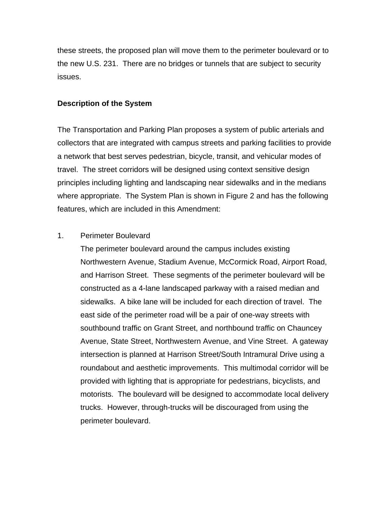these streets, the proposed plan will move them to the perimeter boulevard or to the new U.S. 231. There are no bridges or tunnels that are subject to security issues.

#### **Description of the System**

The Transportation and Parking Plan proposes a system of public arterials and collectors that are integrated with campus streets and parking facilities to provide a network that best serves pedestrian, bicycle, transit, and vehicular modes of travel. The street corridors will be designed using context sensitive design principles including lighting and landscaping near sidewalks and in the medians where appropriate. The System Plan is shown in Figure 2 and has the following features, which are included in this Amendment:

#### 1. Perimeter Boulevard

The perimeter boulevard around the campus includes existing Northwestern Avenue, Stadium Avenue, McCormick Road, Airport Road, and Harrison Street. These segments of the perimeter boulevard will be constructed as a 4-lane landscaped parkway with a raised median and sidewalks. A bike lane will be included for each direction of travel. The east side of the perimeter road will be a pair of one-way streets with southbound traffic on Grant Street, and northbound traffic on Chauncey Avenue, State Street, Northwestern Avenue, and Vine Street. A gateway intersection is planned at Harrison Street/South Intramural Drive using a roundabout and aesthetic improvements. This multimodal corridor will be provided with lighting that is appropriate for pedestrians, bicyclists, and motorists. The boulevard will be designed to accommodate local delivery trucks. However, through-trucks will be discouraged from using the perimeter boulevard.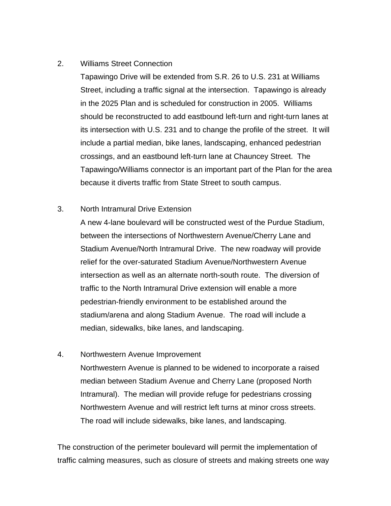#### 2. Williams Street Connection

Tapawingo Drive will be extended from S.R. 26 to U.S. 231 at Williams Street, including a traffic signal at the intersection. Tapawingo is already in the 2025 Plan and is scheduled for construction in 2005. Williams should be reconstructed to add eastbound left-turn and right-turn lanes at its intersection with U.S. 231 and to change the profile of the street. It will include a partial median, bike lanes, landscaping, enhanced pedestrian crossings, and an eastbound left-turn lane at Chauncey Street. The Tapawingo/Williams connector is an important part of the Plan for the area because it diverts traffic from State Street to south campus.

#### 3. North Intramural Drive Extension

A new 4-lane boulevard will be constructed west of the Purdue Stadium, between the intersections of Northwestern Avenue/Cherry Lane and Stadium Avenue/North Intramural Drive. The new roadway will provide relief for the over-saturated Stadium Avenue/Northwestern Avenue intersection as well as an alternate north-south route. The diversion of traffic to the North Intramural Drive extension will enable a more pedestrian-friendly environment to be established around the stadium/arena and along Stadium Avenue. The road will include a median, sidewalks, bike lanes, and landscaping.

#### 4. Northwestern Avenue Improvement

Northwestern Avenue is planned to be widened to incorporate a raised median between Stadium Avenue and Cherry Lane (proposed North Intramural). The median will provide refuge for pedestrians crossing Northwestern Avenue and will restrict left turns at minor cross streets. The road will include sidewalks, bike lanes, and landscaping.

The construction of the perimeter boulevard will permit the implementation of traffic calming measures, such as closure of streets and making streets one way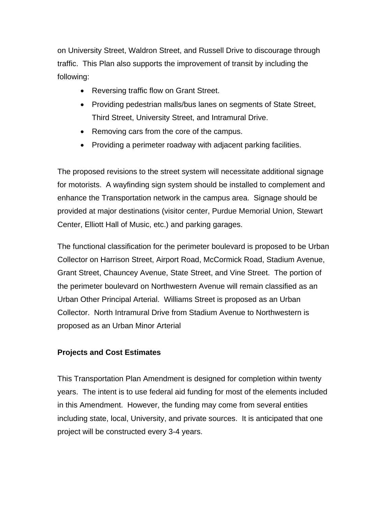on University Street, Waldron Street, and Russell Drive to discourage through traffic. This Plan also supports the improvement of transit by including the following:

- Reversing traffic flow on Grant Street.
- Providing pedestrian malls/bus lanes on segments of State Street, Third Street, University Street, and Intramural Drive.
- Removing cars from the core of the campus.
- Providing a perimeter roadway with adjacent parking facilities.

The proposed revisions to the street system will necessitate additional signage for motorists. A wayfinding sign system should be installed to complement and enhance the Transportation network in the campus area. Signage should be provided at major destinations (visitor center, Purdue Memorial Union, Stewart Center, Elliott Hall of Music, etc.) and parking garages.

The functional classification for the perimeter boulevard is proposed to be Urban Collector on Harrison Street, Airport Road, McCormick Road, Stadium Avenue, Grant Street, Chauncey Avenue, State Street, and Vine Street. The portion of the perimeter boulevard on Northwestern Avenue will remain classified as an Urban Other Principal Arterial. Williams Street is proposed as an Urban Collector. North Intramural Drive from Stadium Avenue to Northwestern is proposed as an Urban Minor Arterial

## **Projects and Cost Estimates**

This Transportation Plan Amendment is designed for completion within twenty years. The intent is to use federal aid funding for most of the elements included in this Amendment. However, the funding may come from several entities including state, local, University, and private sources. It is anticipated that one project will be constructed every 3-4 years.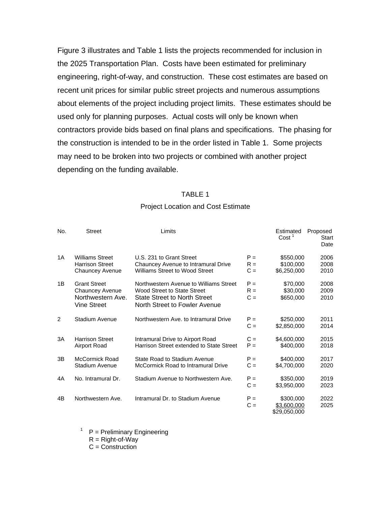Figure 3 illustrates and Table 1 lists the projects recommended for inclusion in the 2025 Transportation Plan. Costs have been estimated for preliminary engineering, right-of-way, and construction. These cost estimates are based on recent unit prices for similar public street projects and numerous assumptions about elements of the project including project limits. These estimates should be used only for planning purposes. Actual costs will only be known when contractors provide bids based on final plans and specifications. The phasing for the construction is intended to be in the order listed in Table 1. Some projects may need to be broken into two projects or combined with another project depending on the funding available.

#### TABLE 1

#### Project Location and Cost Estimate

| No. | <b>Street</b>                                                                     | Limits                                                                                                                                        |                         | Estimated<br>Cost <sup>1</sup>           | Proposed<br>Start<br>Date |
|-----|-----------------------------------------------------------------------------------|-----------------------------------------------------------------------------------------------------------------------------------------------|-------------------------|------------------------------------------|---------------------------|
| 1A  | <b>Williams Street</b><br><b>Harrison Street</b><br>Chauncey Avenue               | U.S. 231 to Grant Street<br>Chauncey Avenue to Intramural Drive<br>Williams Street to Wood Street                                             | $P =$<br>$R =$<br>$C =$ | \$550,000<br>\$100,000<br>\$6,250,000    | 2006<br>2008<br>2010      |
| 1B  | <b>Grant Street</b><br>Chauncey Avenue<br>Northwestern Ave.<br><b>Vine Street</b> | Northwestern Avenue to Williams Street<br>Wood Street to State Street<br><b>State Street to North Street</b><br>North Street to Fowler Avenue | $P =$<br>$R =$<br>$C =$ | \$70,000<br>\$30,000<br>\$650,000        | 2008<br>2009<br>2010      |
| 2   | Stadium Avenue                                                                    | Northwestern Ave. to Intramural Drive                                                                                                         | $P =$<br>$C =$          | \$250,000<br>\$2,850,000                 | 2011<br>2014              |
| 3A  | <b>Harrison Street</b><br>Airport Road                                            | Intramural Drive to Airport Road<br>Harrison Street extended to State Street                                                                  | $C =$<br>$P =$          | \$4,600,000<br>\$400,000                 | 2015<br>2018              |
| 3B  | McCormick Road<br><b>Stadium Avenue</b>                                           | State Road to Stadium Avenue<br>McCormick Road to Intramural Drive                                                                            | $P =$<br>$C =$          | \$400,000<br>\$4,700,000                 | 2017<br>2020              |
| 4A  | No. Intramural Dr.                                                                | Stadium Avenue to Northwestern Ave.                                                                                                           | $P =$<br>$C =$          | \$350,000<br>\$3,950,000                 | 2019<br>2023              |
| 4B  | Northwestern Ave.                                                                 | Intramural Dr. to Stadium Avenue                                                                                                              | $P =$<br>$C =$          | \$300,000<br>\$3,600,000<br>\$29,050,000 | 2022<br>2025              |

 $1$  P = Preliminary Engineering

 $R =$  Right-of-Way

 $C =$  Construction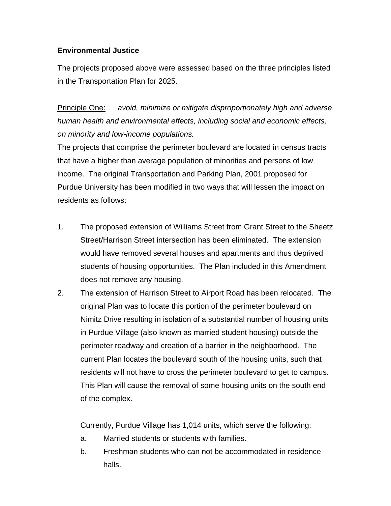### **Environmental Justice**

The projects proposed above were assessed based on the three principles listed in the Transportation Plan for 2025.

Principle One: *avoid, minimize or mitigate disproportionately high and adverse human health and environmental effects, including social and economic effects, on minority and low-income populations.* 

The projects that comprise the perimeter boulevard are located in census tracts that have a higher than average population of minorities and persons of low income. The original Transportation and Parking Plan, 2001 proposed for Purdue University has been modified in two ways that will lessen the impact on residents as follows:

- 1. The proposed extension of Williams Street from Grant Street to the Sheetz Street/Harrison Street intersection has been eliminated. The extension would have removed several houses and apartments and thus deprived students of housing opportunities. The Plan included in this Amendment does not remove any housing.
- 2. The extension of Harrison Street to Airport Road has been relocated. The original Plan was to locate this portion of the perimeter boulevard on Nimitz Drive resulting in isolation of a substantial number of housing units in Purdue Village (also known as married student housing) outside the perimeter roadway and creation of a barrier in the neighborhood. The current Plan locates the boulevard south of the housing units, such that residents will not have to cross the perimeter boulevard to get to campus. This Plan will cause the removal of some housing units on the south end of the complex.

Currently, Purdue Village has 1,014 units, which serve the following:

- a. Married students or students with families.
- b. Freshman students who can not be accommodated in residence halls.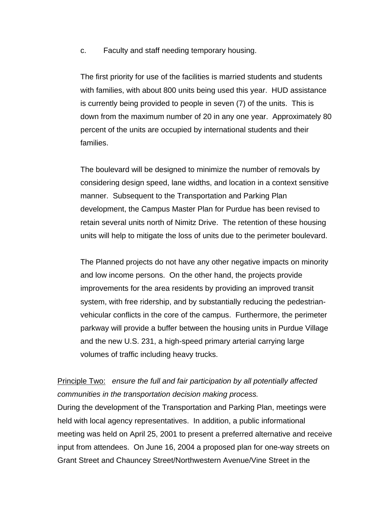c. Faculty and staff needing temporary housing.

The first priority for use of the facilities is married students and students with families, with about 800 units being used this year. HUD assistance is currently being provided to people in seven (7) of the units. This is down from the maximum number of 20 in any one year. Approximately 80 percent of the units are occupied by international students and their families.

The boulevard will be designed to minimize the number of removals by considering design speed, lane widths, and location in a context sensitive manner. Subsequent to the Transportation and Parking Plan development, the Campus Master Plan for Purdue has been revised to retain several units north of Nimitz Drive. The retention of these housing units will help to mitigate the loss of units due to the perimeter boulevard.

The Planned projects do not have any other negative impacts on minority and low income persons. On the other hand, the projects provide improvements for the area residents by providing an improved transit system, with free ridership, and by substantially reducing the pedestrianvehicular conflicts in the core of the campus. Furthermore, the perimeter parkway will provide a buffer between the housing units in Purdue Village and the new U.S. 231, a high-speed primary arterial carrying large volumes of traffic including heavy trucks.

## Principle Two: *ensure the full and fair participation by all potentially affected communities in the transportation decision making process.*

During the development of the Transportation and Parking Plan, meetings were held with local agency representatives. In addition, a public informational meeting was held on April 25, 2001 to present a preferred alternative and receive input from attendees. On June 16, 2004 a proposed plan for one-way streets on Grant Street and Chauncey Street/Northwestern Avenue/Vine Street in the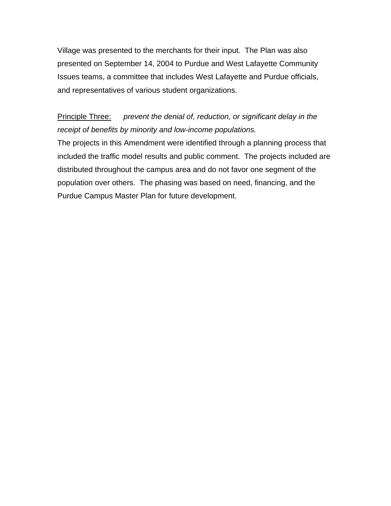Village was presented to the merchants for their input. The Plan was also presented on September 14, 2004 to Purdue and West Lafayette Community Issues teams, a committee that includes West Lafayette and Purdue officials, and representatives of various student organizations.

Principle Three: *prevent the denial of, reduction, or significant delay in the receipt of benefits by minority and low-income populations.* 

The projects in this Amendment were identified through a planning process that included the traffic model results and public comment. The projects included are distributed throughout the campus area and do not favor one segment of the population over others. The phasing was based on need, financing, and the Purdue Campus Master Plan for future development.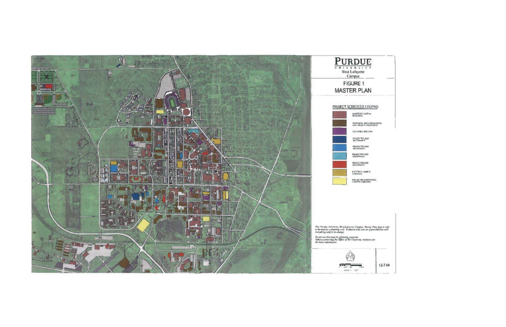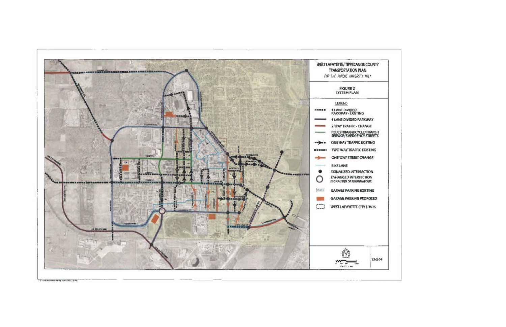

312.3 of Talesadeline alienda 1036/9043-0337-967

| NTY                 |  |
|---------------------|--|
|                     |  |
|                     |  |
|                     |  |
|                     |  |
|                     |  |
| ľ                   |  |
|                     |  |
| <b>NSIT</b><br>EETS |  |
| G                   |  |
| VG                  |  |
| Ę                   |  |
|                     |  |
| $\overline{a}$      |  |
|                     |  |
| G                   |  |
| ΈD<br><b>ES</b>     |  |
|                     |  |
|                     |  |
|                     |  |
|                     |  |
|                     |  |
|                     |  |
| $12 - 3 - 0$        |  |
|                     |  |